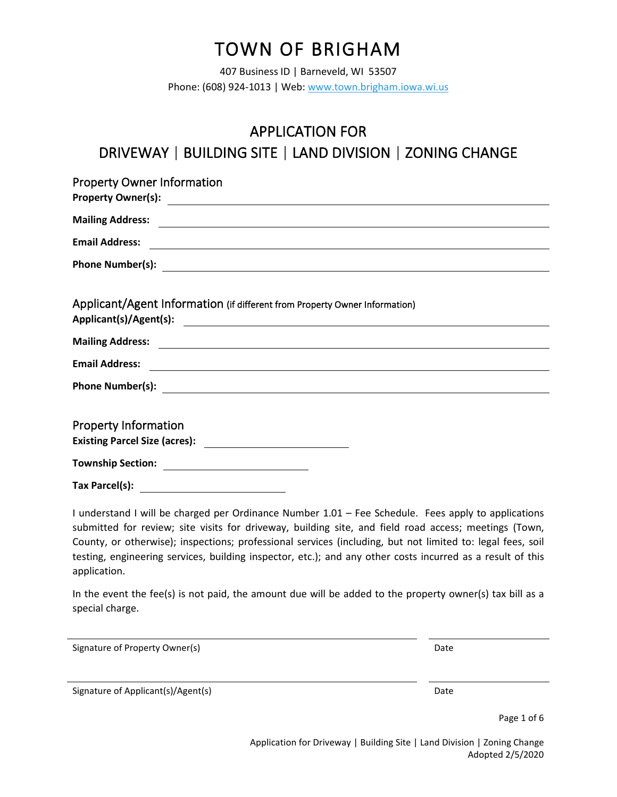# TOWN OF BRIGHAM

407 Business ID | Barneveld, WI 53507 Phone: (608) 924-1013 | Web[: www.town.brigham.iowa.wi.us](http://www.town.brigham.iowa.wi.us/)

APPLICATION FOR

| APPLICATION FOR                                                            |
|----------------------------------------------------------------------------|
| DRIVEWAY   BUILDING SITE   LAND DIVISION   ZONING CHANGE                   |
| <b>Property Owner Information</b>                                          |
|                                                                            |
|                                                                            |
|                                                                            |
| Applicant/Agent Information (if different from Property Owner Information) |
|                                                                            |
| <b>Property Information</b>                                                |
|                                                                            |

I understand I will be charged per Ordinance Number 1.01 – Fee Schedule. Fees apply to applications submitted for review; site visits for driveway, building site, and field road access; meetings (Town, County, or otherwise); inspections; professional services (including, but not limited to: legal fees, soil testing, engineering services, building inspector, etc.); and any other costs incurred as a result of this application.

In the event the fee(s) is not paid, the amount due will be added to the property owner(s) tax bill as a special charge.

Signature of Property Owner(s) and the Control of Property Owner(s) and the Control of Property Owner(s)

Signature of Applicant(s)/Agent(s) Date

Page 1 of 6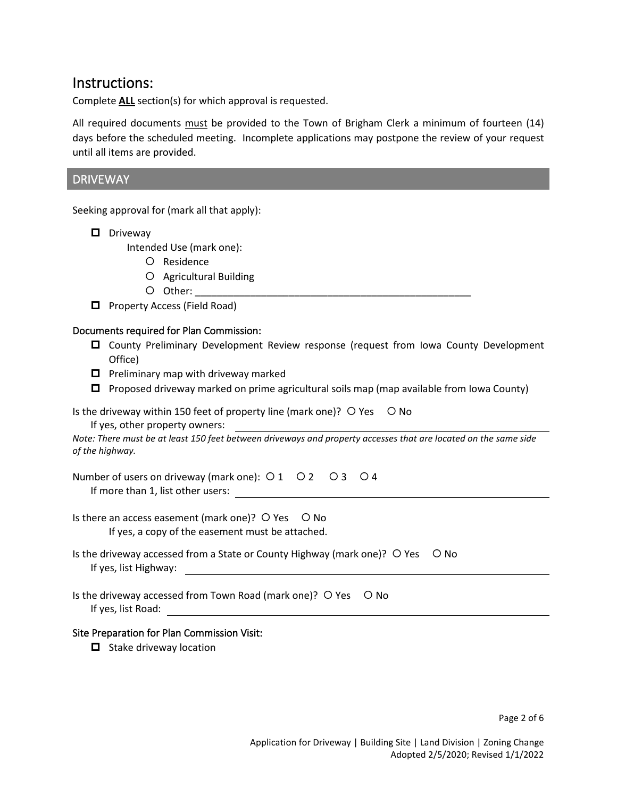### Instructions:

Complete **ALL** section(s) for which approval is requested.

All required documents must be provided to the Town of Brigham Clerk a minimum of fourteen (14) days before the scheduled meeting. Incomplete applications may postpone the review of your request until all items are provided.

#### DRIVEWAY

Seeking approval for (mark all that apply):

D Driveway

Intended Use (mark one):

- O Residence
- Agricultural Building
- $O$  Other:  $\_$
- **D** Property Access (Field Road)

#### Documents required for Plan Commission:

- County Preliminary Development Review response (request from Iowa County Development Office)
- $\Box$  Preliminary map with driveway marked
- $\Box$  Proposed driveway marked on prime agricultural soils map (map available from Iowa County)

Is the driveway within 150 feet of property line (mark one)?  $\bigcirc$  Yes  $\bigcirc$  No

If yes, other property owners:

*Note: There must be at least 150 feet between driveways and property accesses that are located on the same side of the highway.*

Number of users on driveway (mark one):  $\overline{O}1$   $\overline{O}2$   $\overline{O}3$   $\overline{O}4$ If more than 1, list other users:

Is there an access easement (mark one)?  $\circ$  Yes  $\circ$  No If yes, a copy of the easement must be attached.

- Is the driveway accessed from a State or County Highway (mark one)?  $\bigcirc$  Yes  $\bigcirc$  No If yes, list Highway:
- Is the driveway accessed from Town Road (mark one)?  $\bigcirc$  Yes  $\bigcirc$  No If yes, list Road:

#### Site Preparation for Plan Commission Visit:

 $\Box$  Stake driveway location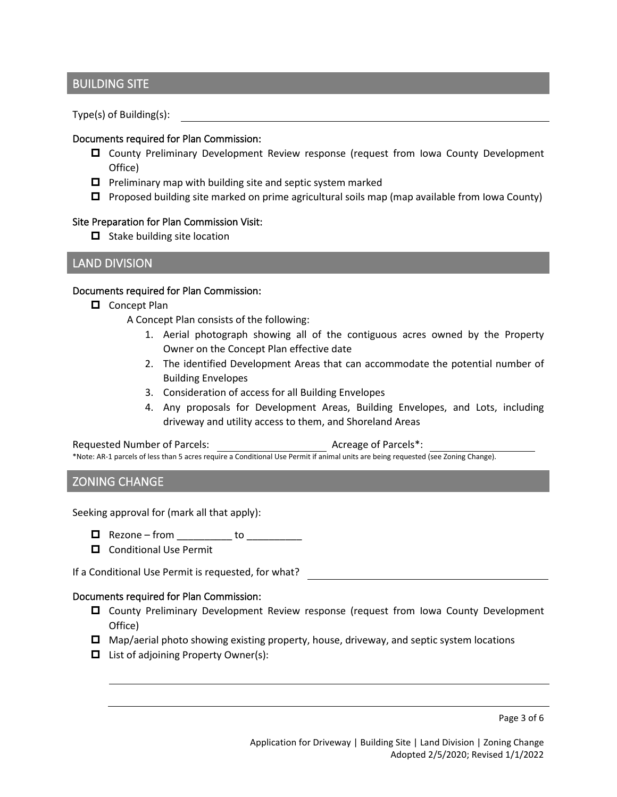#### BUILDING SITE

Type(s) of Building(s):

#### Documents required for Plan Commission:

- County Preliminary Development Review response (request from Iowa County Development Office)
- $\Box$  Preliminary map with building site and septic system marked
- $\Box$  Proposed building site marked on prime agricultural soils map (map available from Iowa County)

#### Site Preparation for Plan Commission Visit:

 $\Box$  Stake building site location

#### LAND DIVISION

#### Documents required for Plan Commission:

Concept Plan

A Concept Plan consists of the following:

- 1. Aerial photograph showing all of the contiguous acres owned by the Property Owner on the Concept Plan effective date
- 2. The identified Development Areas that can accommodate the potential number of Building Envelopes
- 3. Consideration of access for all Building Envelopes
- 4. Any proposals for Development Areas, Building Envelopes, and Lots, including driveway and utility access to them, and Shoreland Areas

#### Requested Number of Parcels: Acreage of Parcels\*:

\*Note: AR-1 parcels of less than 5 acres require a Conditional Use Permit if animal units are being requested (see Zoning Change).

#### ZONING CHANGE

Seeking approval for (mark all that apply):

- $\Box$  Rezone from \_\_\_\_\_\_\_\_\_\_\_\_ to \_\_\_\_\_\_\_\_\_\_\_\_
- $\Box$  Conditional Use Permit

If a Conditional Use Permit is requested, for what?

#### Documents required for Plan Commission:

- County Preliminary Development Review response (request from Iowa County Development Office)
- $\Box$  Map/aerial photo showing existing property, house, driveway, and septic system locations
- $\Box$  List of adjoining Property Owner(s):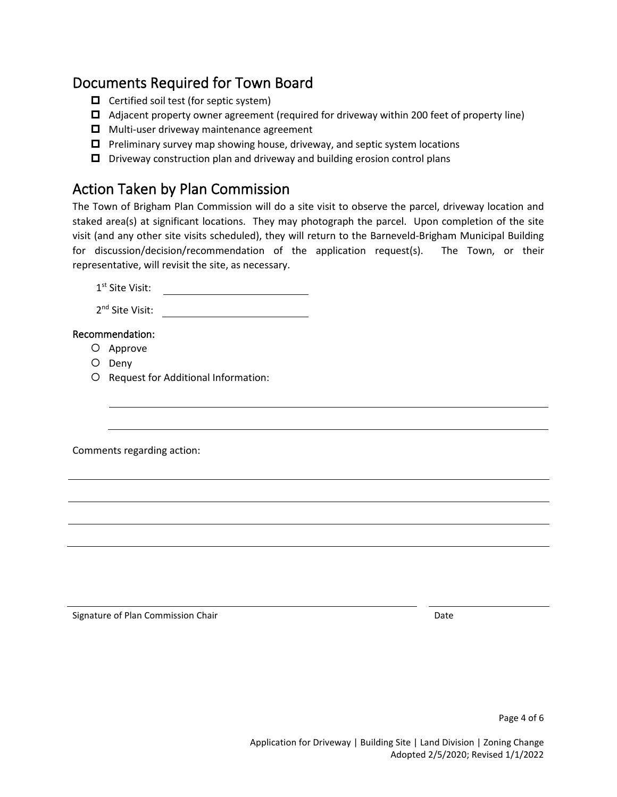### Documents Required for Town Board

- $\Box$  Certified soil test (for septic system)
- Adjacent property owner agreement (required for driveway within 200 feet of property line)
- $\Box$  Multi-user driveway maintenance agreement
- $\Box$  Preliminary survey map showing house, driveway, and septic system locations
- $\Box$  Driveway construction plan and driveway and building erosion control plans

### Action Taken by Plan Commission

The Town of Brigham Plan Commission will do a site visit to observe the parcel, driveway location and staked area(s) at significant locations. They may photograph the parcel. Upon completion of the site visit (and any other site visits scheduled), they will return to the Barneveld-Brigham Municipal Building for discussion/decision/recommendation of the application request(s). The Town, or their representative, will revisit the site, as necessary.

1<sup>st</sup> Site Visit:

2nd Site Visit:

#### Recommendation:

- O Approve
- O Deny
- O Request for Additional Information:

Comments regarding action:

Signature of Plan Commission Chair Date Date of Plan Commission Chair Date Date Date Date Date Date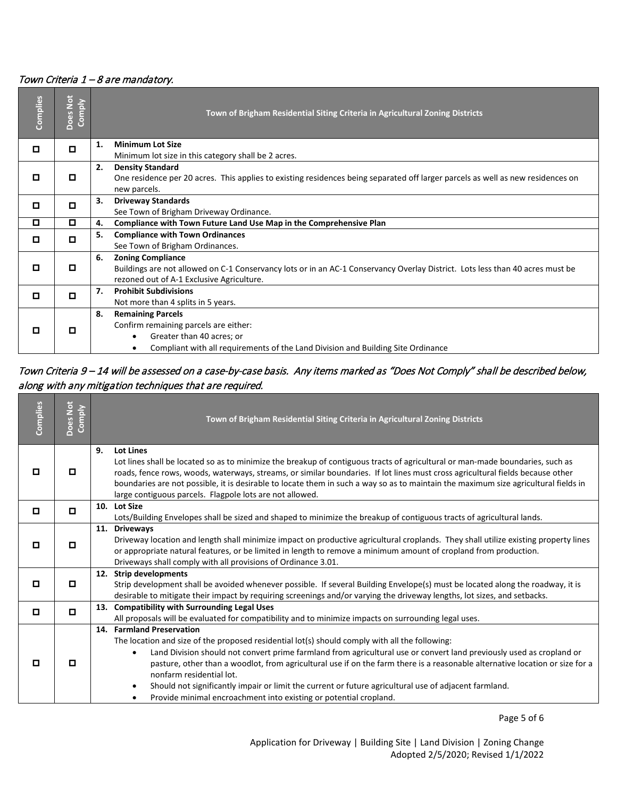#### Town Criteria 1 – 8 are mandatory.

| Complies | Does Not<br>Comply |    | Town of Brigham Residential Siting Criteria in Agricultural Zoning Districts                                                    |
|----------|--------------------|----|---------------------------------------------------------------------------------------------------------------------------------|
|          | о                  | 1. | <b>Minimum Lot Size</b>                                                                                                         |
|          |                    |    | Minimum lot size in this category shall be 2 acres.                                                                             |
|          |                    | 2. | <b>Density Standard</b>                                                                                                         |
| о        | о                  |    | One residence per 20 acres. This applies to existing residences being separated off larger parcels as well as new residences on |
|          |                    |    | new parcels.                                                                                                                    |
| О        | о                  | 3. | <b>Driveway Standards</b>                                                                                                       |
|          |                    |    | See Town of Brigham Driveway Ordinance.                                                                                         |
| О        | О                  | 4. | Compliance with Town Future Land Use Map in the Comprehensive Plan                                                              |
| о        | о                  | 5. | <b>Compliance with Town Ordinances</b>                                                                                          |
|          |                    |    | See Town of Brigham Ordinances.                                                                                                 |
|          |                    | 6. | <b>Zoning Compliance</b>                                                                                                        |
| О        | о                  |    | Buildings are not allowed on C-1 Conservancy lots or in an AC-1 Conservancy Overlay District. Lots less than 40 acres must be   |
|          |                    |    | rezoned out of A-1 Exclusive Agriculture.                                                                                       |
|          | о                  | 7. | <b>Prohibit Subdivisions</b>                                                                                                    |
|          |                    |    | Not more than 4 splits in 5 years.                                                                                              |
|          |                    | 8. | <b>Remaining Parcels</b>                                                                                                        |
| о        | о                  |    | Confirm remaining parcels are either:                                                                                           |
|          |                    |    | Greater than 40 acres; or                                                                                                       |
|          |                    |    | Compliant with all requirements of the Land Division and Building Site Ordinance                                                |

### Town Criteria 9 – 14 will be assessed on a case-by-case basis. Any items marked as "Does Not Comply" shall be described below, along with any mitigation techniques that are required.

| Complies | Does Not<br>Comply | Town of Brigham Residential Siting Criteria in Agricultural Zoning Districts                                                                                                                                                                                                                                                                                                                                                                                                                                                                                                                                    |
|----------|--------------------|-----------------------------------------------------------------------------------------------------------------------------------------------------------------------------------------------------------------------------------------------------------------------------------------------------------------------------------------------------------------------------------------------------------------------------------------------------------------------------------------------------------------------------------------------------------------------------------------------------------------|
| о        | о                  | 9.<br><b>Lot Lines</b><br>Lot lines shall be located so as to minimize the breakup of contiguous tracts of agricultural or man-made boundaries, such as<br>roads, fence rows, woods, waterways, streams, or similar boundaries. If lot lines must cross agricultural fields because other<br>boundaries are not possible, it is desirable to locate them in such a way so as to maintain the maximum size agricultural fields in<br>large contiguous parcels. Flagpole lots are not allowed.                                                                                                                    |
| о        | $\Box$             | 10. Lot Size<br>Lots/Building Envelopes shall be sized and shaped to minimize the breakup of contiguous tracts of agricultural lands.                                                                                                                                                                                                                                                                                                                                                                                                                                                                           |
| о        | o                  | 11. Driveways<br>Driveway location and length shall minimize impact on productive agricultural croplands. They shall utilize existing property lines<br>or appropriate natural features, or be limited in length to remove a minimum amount of cropland from production.<br>Driveways shall comply with all provisions of Ordinance 3.01.                                                                                                                                                                                                                                                                       |
| о        | о                  | 12. Strip developments<br>Strip development shall be avoided whenever possible. If several Building Envelope(s) must be located along the roadway, it is<br>desirable to mitigate their impact by requiring screenings and/or varying the driveway lengths, lot sizes, and setbacks.                                                                                                                                                                                                                                                                                                                            |
| о        | o                  | 13. Compatibility with Surrounding Legal Uses<br>All proposals will be evaluated for compatibility and to minimize impacts on surrounding legal uses.                                                                                                                                                                                                                                                                                                                                                                                                                                                           |
| о        | о                  | 14. Farmland Preservation<br>The location and size of the proposed residential lot(s) should comply with all the following:<br>Land Division should not convert prime farmland from agricultural use or convert land previously used as cropland or<br>$\bullet$<br>pasture, other than a woodlot, from agricultural use if on the farm there is a reasonable alternative location or size for a<br>nonfarm residential lot.<br>Should not significantly impair or limit the current or future agricultural use of adjacent farmland.<br>Provide minimal encroachment into existing or potential cropland.<br>٠ |